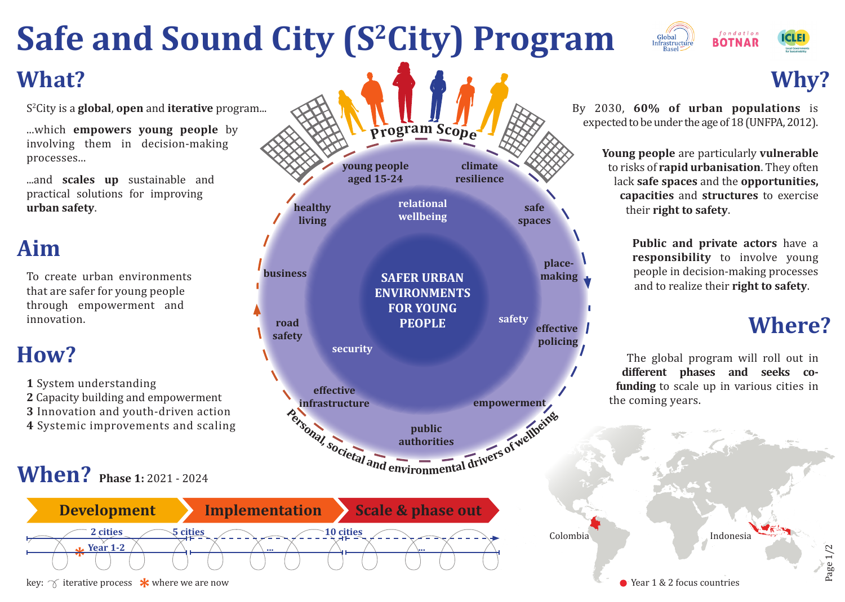## **Safe and Sound City (S2City) Program What?**

**healthy living**

S2 City is a **global**, **open** and **iterative** program...

...which **empowers young people** by involving them in decision-making processes...

...and **scales up** sustainable and practical solutions for improving **urban safety**.

### **Aim**

To create urban environments that are safer for young people through empowerment and innovation.

#### **How?**

- **1** System understanding
- **2** Capacity building and empowerment
- **3** Innovation and youth-driven action
- **4** Systemic improvements and scaling

### **When?** Phase 1: 2021 - 2024



**road safety**

**effective** 

**security**

By 2030, **60% of urban populations** is expected to be under the age of 18 (UNFPA, 2012).

> **Young people** are particularly **vulnerable** to risks of **rapid urbanisation**. They often lack **safe spaces** and the **opportunities, capacities** and **structures** to exercise their **right to safety**.

> > **Public and private actors** have a **responsibility** to involve young people in decision-making processes and to realize their **right to safety**.

#### **Where?**

 $P$ age  $1/2$ 

The global program will roll out in **different phases and seeks cofunding** to scale up in various cities in the coming years.

Colombia indonesia

**effective policing**

**place-**

**safe spaces**

**safety**

Public public authorities authorities authorities of well and environmental drivers of well and

**public authorities**

**infrastructure empowerment**

**business SAFER URBAN making** 

**ENVIRONMENTS FOR YOUNG PEOPLE**

**relational wellbeing**

**young people aged 15-24**

**<sup>P</sup>rog<sup>r</sup>a<sup>m</sup> <sup>S</sup>cop<sup>e</sup>**

**climate resilience**

**key:**  $\gamma$  iterative process  $\star$  where we are now



**Why?**